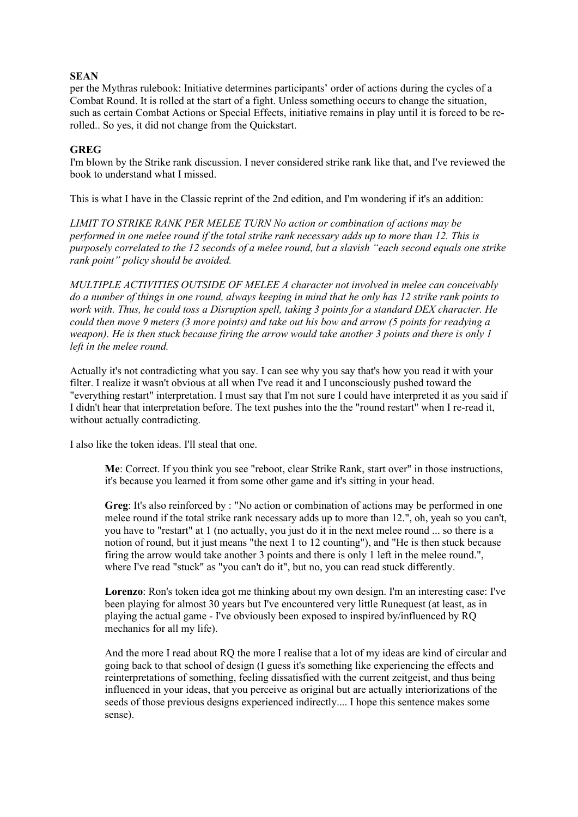### **SEA[N](https://www.patreon.com/Zer0MYD)**

per the Mythras rulebook: Initiative determines participants' order of actions during the cycles of a Combat Round. It is rolled at the start of a fight. Unless something occurs to change the situation, such as certain Combat Actions or Special Effects, initiative remains in play until it is forced to be rerolled.. So yes, it did not change from the Quickstart.

## **GREG**

I'm blown by the Strike rank discussion. I never considered strike rank like that, and I've reviewed the book to understand what I missed.

This is what I have in the Classic reprint of the 2nd edition, and I'm wondering if it's an addition:

*LIMIT TO STRIKE RANK PER MELEE TURN No action or combination of actions may be performed in one melee round if the total strike rank necessary adds up to more than 12. This is purposely correlated to the 12 seconds of a melee round, but a slavish "each second equals one strike rank point" policy should be avoided.* 

*MULTIPLE ACTIVITIES OUTSIDE OF MELEE A character not involved in melee can conceivably do a number of things in one round, always keeping in mind that he only has 12 strike rank points to work with. Thus, he could toss a Disruption spell, taking 3 points for a standard DEX character. He could then move 9 meters (3 more points) and take out his bow and arrow (5 points for readying a weapon). He is then stuck because firing the arrow would take another 3 points and there is only 1 left in the melee round.* 

Actually it's not contradicting what you say. I can see why you say that's how you read it with your filter. I realize it wasn't obvious at all when I've read it and I unconsciously pushed toward the "everything restart" interpretation. I must say that I'm not sure I could have interpreted it as you said if I didn't hear that interpretation before. The text pushes into the the "round restart" when I re-read it, without actually contradicting.

I also like the token ideas. I'll steal that one.

**Me**: Correct. If you think you see "reboot, clear Strike Rank, start over" in those instructions, it's because you learned it from some other game and it's sitting in your head.

**Greg**: It's also reinforced by : "No action or combination of actions may be performed in one melee round if the total strike rank necessary adds up to more than 12.", oh, yeah so you can't, you have to "restart" at 1 (no actually, you just do it in the next melee round ... so there is a notion of round, but it just means "the next 1 to 12 counting"), and "He is then stuck because firing the arrow would take another 3 points and there is only 1 left in the melee round.", where I've read "stuck" as "you can't do it", but no, you can read stuck differently.

**Lorenzo**: Ron's token idea got me thinking about my own design. I'm an interesting case: I've been playing for almost 30 years but I've encountered very little Runequest (at least, as in playing the actual game - I've obviously been exposed to inspired by/influenced by RQ mechanics for all my life).

And the more I read about RQ the more I realise that a lot of my ideas are kind of circular and going back to that school of design (I guess it's something like experiencing the effects and reinterpretations of something, feeling dissatisfied with the current zeitgeist, and thus being influenced in your ideas, that you perceive as original but are actually interiorizations of the seeds of those previous designs experienced indirectly.... I hope this sentence makes some sense).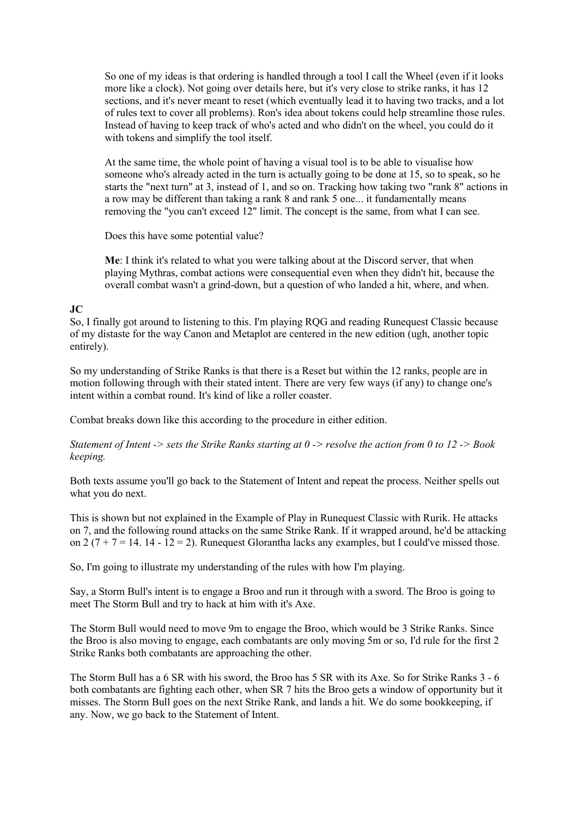So one of my ideas is that ordering is handled through a tool I call the Wheel (even if it looks more like a clock). Not going over details here, but it's very close to strike ranks, it has 12 sections, and it's never meant to reset (which eventually lead it to having two tracks, and a lot of rules text to cover all problems). Ron's idea about tokens could help streamline those rules. Instead of having to keep track of who's acted and who didn't on the wheel, you could do it with tokens and simplify the tool itself.

At the same time, the whole point of having a visual tool is to be able to visualise how someone who's already acted in the turn is actually going to be done at 15, so to speak, so he starts the "next turn" at 3, instead of 1, and so on. Tracking how taking two "rank 8" actions in a row may be different than taking a rank 8 and rank 5 one... it fundamentally means removing the "you can't exceed 12" limit. The concept is the same, from what I can see.

Does this have some potential value?

**Me**: I think it's related to what you were talking about at the Discord server, that when playing Mythras, combat actions were consequential even when they didn't hit, because the overall combat wasn't a grind-down, but a question of who landed a hit, where, and when.

## **JC**

So, I finally got around to listening to this. I'm playing RQG and reading Runequest Classic because of my distaste for the way Canon and Metaplot are centered in the new edition (ugh, another topic entirely).

So my understanding of Strike Ranks is that there is a Reset but within the 12 ranks, people are in motion following through with their stated intent. There are very few ways (if any) to change one's intent within a combat round. It's kind of like a roller coaster.

Combat breaks down like this according to the procedure in either edition.

*Statement of Intent -> sets the Strike Ranks starting at 0 -> resolve the action from 0 to 12 -> Book keeping.* 

Both texts assume you'll go back to the Statement of Intent and repeat the process. Neither spells out what you do next.

This is shown but not explained in the Example of Play in Runequest Classic with Rurik. He attacks on 7, and the following round attacks on the same Strike Rank. If it wrapped around, he'd be attacking on 2 ( $7 + 7 = 14$ . 14 - 12 = 2). Runequest Glorantha lacks any examples, but I could've missed those.

So, I'm going to illustrate my understanding of the rules with how I'm playing.

Say, a Storm Bull's intent is to engage a Broo and run it through with a sword. The Broo is going to meet The Storm Bull and try to hack at him with it's Axe.

The Storm Bull would need to move 9m to engage the Broo, which would be 3 Strike Ranks. Since the Broo is also moving to engage, each combatants are only moving 5m or so, I'd rule for the first 2 Strike Ranks both combatants are approaching the other.

The Storm Bull has a 6 SR with his sword, the Broo has 5 SR with its Axe. So for Strike Ranks 3 - 6 both combatants are fighting each other, when SR 7 hits the Broo gets a window of opportunity but it misses. The Storm Bull goes on the next Strike Rank, and lands a hit. We do some bookkeeping, if any. Now, we go back to the Statement of Intent.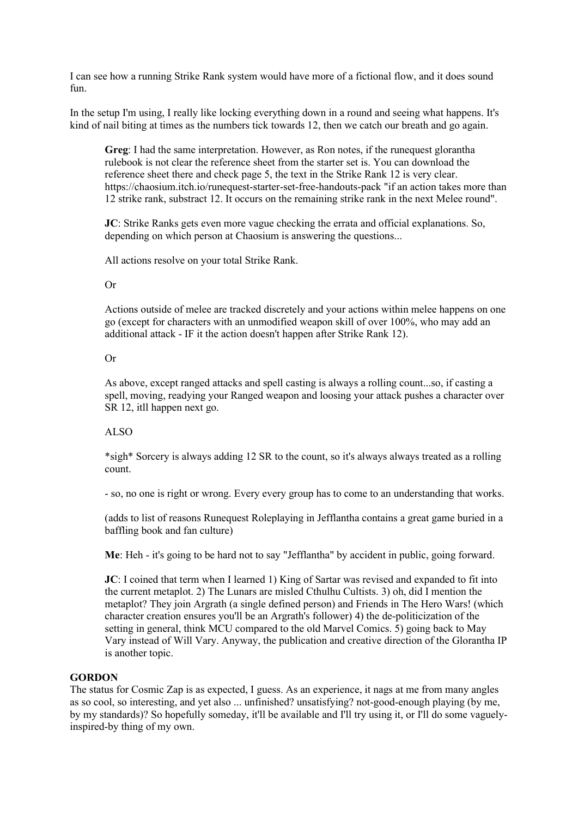I can see how a running Strike Rank system would have more of a fictional flow, and it does sound fun.

In the setup I'm using, I really like locking everything down in a round and seeing what happens. It's kind of nail biting at times as the numbers tick towards 12, then we catch our breath and go again.

**Greg**: I had the same interpretation. However, as Ron notes, if the runequest glorantha rulebook is not clear the reference sheet from the starter set is. You can download the reference sheet there and check page 5, the text in the Strike Rank 12 is very clear. https://chaosium.itch.io/runequest-starter-set-free-handouts-pack "if an action takes more than 12 strike rank, substract 12. It occurs on the remaining strike rank in the next Melee round".

**JC**: Strike Ranks gets even more vague checking the errata and official explanations. So, depending on which person at Chaosium is answering the questions...

All actions resolve on your total Strike Rank.

### Or

Actions outside of melee are tracked discretely and your actions within melee happens on one go (except for characters with an unmodified weapon skill of over 100%, who may add an additional attack - IF it the action doesn't happen after Strike Rank 12).

### Or

As above, except ranged attacks and spell casting is always a rolling count...so, if casting a spell, moving, readying your Ranged weapon and loosing your attack pushes a character over SR 12, itll happen next go.

# ALSO

\*sigh\* Sorcery is always adding 12 SR to the count, so it's always always treated as a rolling count.

- so, no one is right or wrong. Every every group has to come to an understanding that works.

(adds to list of reasons Runequest Roleplaying in Jefflantha contains a great game buried in a baffling book and fan culture)

**Me**: Heh - it's going to be hard not to say "Jefflantha" by accident in public, going forward.

**JC**: I coined that term when I learned 1) King of Sartar was revised and expanded to fit into the current metaplot. 2) The Lunars are misled Cthulhu Cultists. 3) oh, did I mention the metaplot? They join Argrath (a single defined person) and Friends in The Hero Wars! (which character creation ensures you'll be an Argrath's follower) 4) the de-politicization of the setting in general, think MCU compared to the old Marvel Comics. 5) going back to May Vary instead of Will Vary. Anyway, the publication and creative direction of the Glorantha IP is another topic.

### **GORDON**

The status for Cosmic Zap is as expected, I guess. As an experience, it nags at me from many angles as so cool, so interesting, and yet also ... unfinished? unsatisfying? not-good-enough playing (by me, by my standards)? So hopefully someday, it'll be available and I'll try using it, or I'll do some vaguelyinspired-by thing of my own.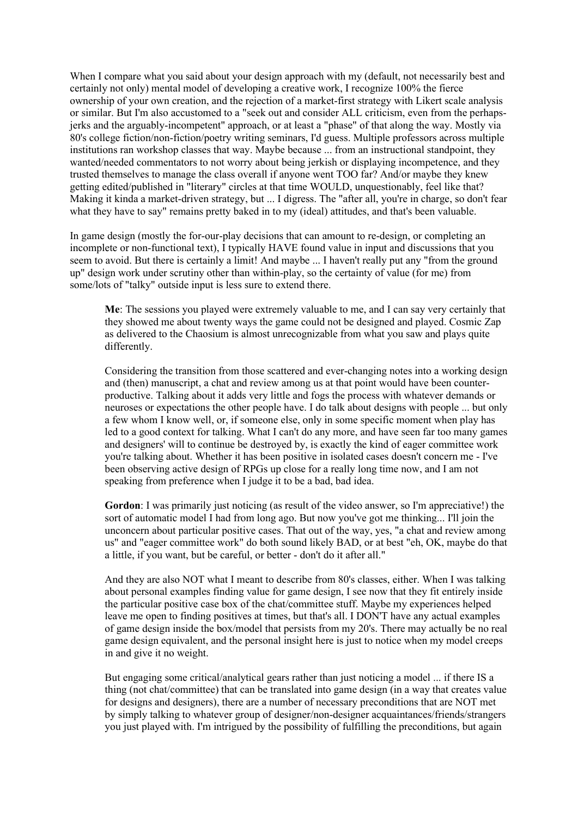When I compare what you said about your design approach with my (default, not necessarily best and certainly not only) mental model of developing a creative work, I recognize 100% the fierce ownership of your own creation, and the rejection of a market-first strategy with Likert scale analysis or similar. But I'm also accustomed to a "seek out and consider ALL criticism, even from the perhapsjerks and the arguably-incompetent" approach, or at least a "phase" of that along the way. Mostly via 80's college fiction/non-fiction/poetry writing seminars, I'd guess. Multiple professors across multiple institutions ran workshop classes that way. Maybe because ... from an instructional standpoint, they wanted/needed commentators to not worry about being jerkish or displaying incompetence, and they trusted themselves to manage the class overall if anyone went TOO far? And/or maybe they knew getting edited/published in "literary" circles at that time WOULD, unquestionably, feel like that? Making it kinda a market-driven strategy, but ... I digress. The "after all, you're in charge, so don't fear what they have to say" remains pretty baked in to my (ideal) attitudes, and that's been valuable.

In game design (mostly the for-our-play decisions that can amount to re-design, or completing an incomplete or non-functional text), I typically HAVE found value in input and discussions that you seem to avoid. But there is certainly a limit! And maybe ... I haven't really put any "from the ground up" design work under scrutiny other than within-play, so the certainty of value (for me) from some/lots of "talky" outside input is less sure to extend there.

**Me**: The sessions you played were extremely valuable to me, and I can say very certainly that they showed me about twenty ways the game could not be designed and played. Cosmic Zap as delivered to the Chaosium is almost unrecognizable from what you saw and plays quite differently.

Considering the transition from those scattered and ever-changing notes into a working design and (then) manuscript, a chat and review among us at that point would have been counterproductive. Talking about it adds very little and fogs the process with whatever demands or neuroses or expectations the other people have. I do talk about designs with people ... but only a few whom I know well, or, if someone else, only in some specific moment when play has led to a good context for talking. What I can't do any more, and have seen far too many games and designers' will to continue be destroyed by, is exactly the kind of eager committee work you're talking about. Whether it has been positive in isolated cases doesn't concern me - I've been observing active design of RPGs up close for a really long time now, and I am not speaking from preference when I judge it to be a bad, bad idea.

**Gordon**: I was primarily just noticing (as result of the video answer, so I'm appreciative!) the sort of automatic model I had from long ago. But now you've got me thinking... I'll join the unconcern about particular positive cases. That out of the way, yes, "a chat and review among us" and "eager committee work" do both sound likely BAD, or at best "eh, OK, maybe do that a little, if you want, but be careful, or better - don't do it after all."

And they are also NOT what I meant to describe from 80's classes, either. When I was talking about personal examples finding value for game design, I see now that they fit entirely inside the particular positive case box of the chat/committee stuff. Maybe my experiences helped leave me open to finding positives at times, but that's all. I DON'T have any actual examples of game design inside the box/model that persists from my 20's. There may actually be no real game design equivalent, and the personal insight here is just to notice when my model creeps in and give it no weight.

But engaging some critical/analytical gears rather than just noticing a model ... if there IS a thing (not chat/committee) that can be translated into game design (in a way that creates value for designs and designers), there are a number of necessary preconditions that are NOT met by simply talking to whatever group of designer/non-designer acquaintances/friends/strangers you just played with. I'm intrigued by the possibility of fulfilling the preconditions, but again